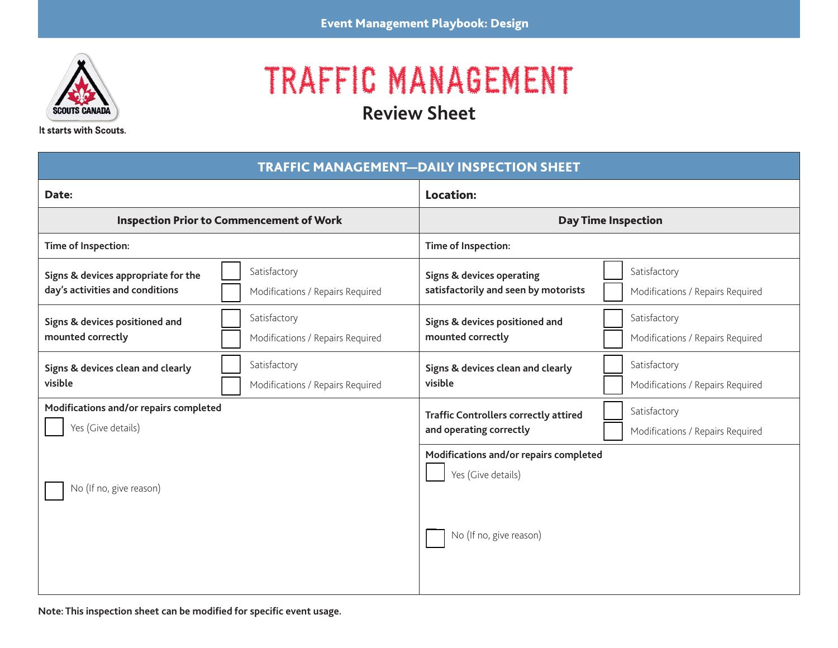

## TRAFFIC MANAGEMENT

**Review Sheet**

It starts with Scouts.

| <b>TRAFFIC MANAGEMENT-DAILY INSPECTION SHEET</b>                                                                           |                                                                                                                                  |  |  |
|----------------------------------------------------------------------------------------------------------------------------|----------------------------------------------------------------------------------------------------------------------------------|--|--|
| Date:                                                                                                                      | <b>Location:</b>                                                                                                                 |  |  |
| <b>Inspection Prior to Commencement of Work</b>                                                                            | <b>Day Time Inspection</b>                                                                                                       |  |  |
| Time of Inspection:                                                                                                        | Time of Inspection:                                                                                                              |  |  |
| Satisfactory<br>Signs & devices appropriate for the<br>day's activities and conditions<br>Modifications / Repairs Required | Satisfactory<br><b>Signs &amp; devices operating</b><br>satisfactorily and seen by motorists<br>Modifications / Repairs Required |  |  |
| Satisfactory<br>Signs & devices positioned and<br>mounted correctly<br>Modifications / Repairs Required                    | Satisfactory<br>Signs & devices positioned and<br>mounted correctly<br>Modifications / Repairs Required                          |  |  |
| Satisfactory<br>Signs & devices clean and clearly<br>visible<br>Modifications / Repairs Required                           | Satisfactory<br>Signs & devices clean and clearly<br>visible<br>Modifications / Repairs Required                                 |  |  |
| Modifications and/or repairs completed<br>Yes (Give details)                                                               | Satisfactory<br><b>Traffic Controllers correctly attired</b><br>and operating correctly<br>Modifications / Repairs Required      |  |  |
| No (If no, give reason)                                                                                                    | Modifications and/or repairs completed<br>Yes (Give details)<br>No (If no, give reason)                                          |  |  |

**Note: This inspection sheet can be modified for specific event usage.**